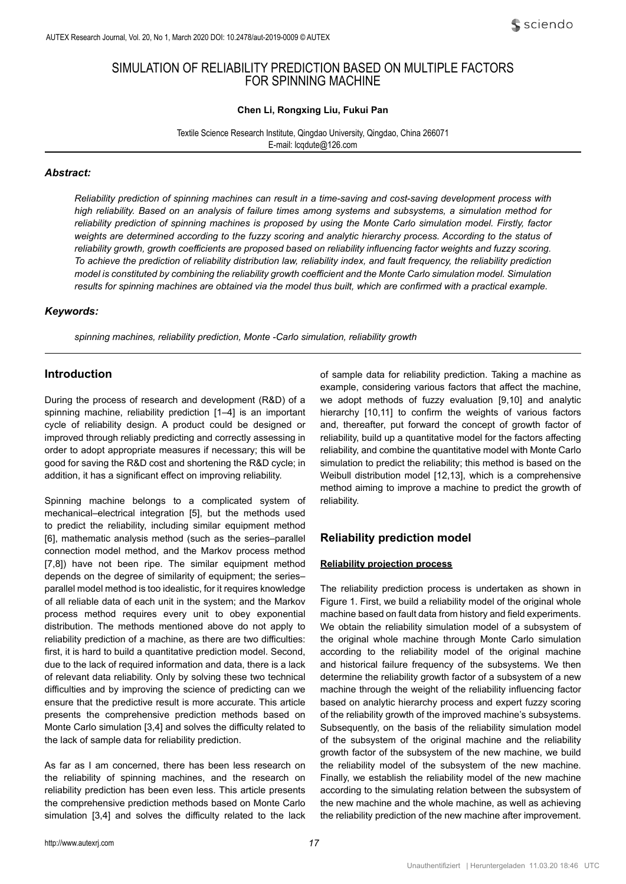# SIMULATION OF RELIABILITY PREDICTION BASED ON MULTIPLE FACTORS FOR SPINNING MACHINE

# **Chen Li, Rongxing Liu, Fukui Pan**

Textile Science Research Institute, Qingdao University, Qingdao, China 266071 E-mail: lcqdute@126.com

# *Abstract:*

*Reliability prediction of spinning machines can result in a time-saving and cost-saving development process with high reliability. Based on an analysis of failure times among systems and subsystems, a simulation method for reliability prediction of spinning machines is proposed by using the Monte Carlo simulation model. Firstly, factor*  weights are determined according to the fuzzy scoring and analytic hierarchy process. According to the status of *reliability growth, growth coefficients are proposed based on reliability influencing factor weights and fuzzy scoring. To achieve the prediction of reliability distribution law, reliability index, and fault frequency, the reliability prediction model is constituted by combining the reliability growth coefficient and the Monte Carlo simulation model. Simulation results for spinning machines are obtained via the model thus built, which are confirmed with a practical example.*

#### *Keywords:*

*spinning machines, reliability prediction, Monte -Carlo simulation, reliability growth*

### **Introduction**

During the process of research and development (R&D) of a spinning machine, reliability prediction [1–4] is an important cycle of reliability design. A product could be designed or improved through reliably predicting and correctly assessing in order to adopt appropriate measures if necessary; this will be good for saving the R&D cost and shortening the R&D cycle; in addition, it has a significant effect on improving reliability.

Spinning machine belongs to a complicated system of mechanical–electrical integration [5], but the methods used to predict the reliability, including similar equipment method [6], mathematic analysis method (such as the series–parallel connection model method, and the Markov process method [7,8]) have not been ripe. The similar equipment method depends on the degree of similarity of equipment; the series– parallel model method is too idealistic, for it requires knowledge of all reliable data of each unit in the system; and the Markov process method requires every unit to obey exponential distribution. The methods mentioned above do not apply to reliability prediction of a machine, as there are two difficulties: first, it is hard to build a quantitative prediction model. Second, due to the lack of required information and data, there is a lack of relevant data reliability. Only by solving these two technical difficulties and by improving the science of predicting can we ensure that the predictive result is more accurate. This article presents the comprehensive prediction methods based on Monte Carlo simulation [3,4] and solves the difficulty related to the lack of sample data for reliability prediction.

As far as I am concerned, there has been less research on the reliability of spinning machines, and the research on reliability prediction has been even less. This article presents the comprehensive prediction methods based on Monte Carlo simulation [3,4] and solves the difficulty related to the lack of sample data for reliability prediction. Taking a machine as example, considering various factors that affect the machine, we adopt methods of fuzzy evaluation [9,10] and analytic hierarchy [10,11] to confirm the weights of various factors and, thereafter, put forward the concept of growth factor of reliability, build up a quantitative model for the factors affecting reliability, and combine the quantitative model with Monte Carlo simulation to predict the reliability; this method is based on the Weibull distribution model [12,13], which is a comprehensive method aiming to improve a machine to predict the growth of reliability.

# **Reliability prediction model**

#### **Reliability projection process**

The reliability prediction process is undertaken as shown in Figure 1. First, we build a reliability model of the original whole machine based on fault data from history and field experiments. We obtain the reliability simulation model of a subsystem of the original whole machine through Monte Carlo simulation according to the reliability model of the original machine and historical failure frequency of the subsystems. We then determine the reliability growth factor of a subsystem of a new machine through the weight of the reliability influencing factor based on analytic hierarchy process and expert fuzzy scoring of the reliability growth of the improved machine's subsystems. Subsequently, on the basis of the reliability simulation model of the subsystem of the original machine and the reliability growth factor of the subsystem of the new machine, we build the reliability model of the subsystem of the new machine. Finally, we establish the reliability model of the new machine according to the simulating relation between the subsystem of the new machine and the whole machine, as well as achieving the reliability prediction of the new machine after improvement.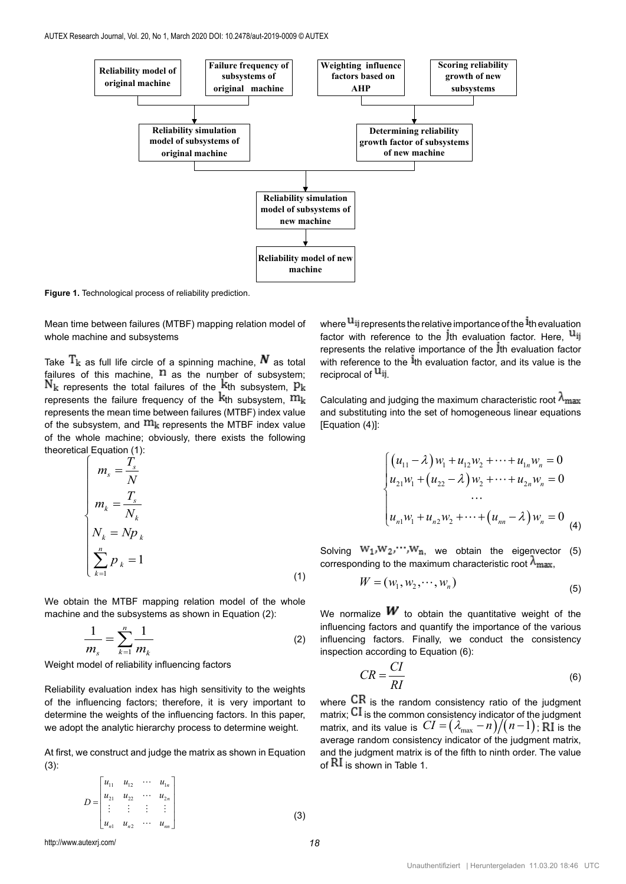

**Figure 1.** Technological process of reliability prediction.

Mean time between failures (MTBF) mapping relation model of whole machine and subsystems

Take  $T_k$  as full life circle of a spinning machine,  $N$  as total failures of this machine,  $\overline{\mathbf{n}}$  as the number of subsystem;  $N_k$  represents the total failures of the  $k$ th subsystem,  $p_k$ represents the failure frequency of the  $k$ <sup>th</sup> subsystem,  $m_k$ represents the mean time between failures (MTBF) index value of the subsystem, and  $m_k$  represents the MTBF index value of the whole machine; obviously, there exists the following theoretical Equation (1):

$$
\begin{cases}\n m_s = \frac{T_s}{N} \\
 m_k = \frac{T_s}{N_k} \\
 N_k = N p_k \\
 \sum_{k=1}^n p_k = 1\n\end{cases}
$$
\n(1)

We obtain the MTBF mapping relation model of the whole machine and the subsystems as shown in Equation (2):

$$
\frac{1}{m_s} = \sum_{k=1}^{n} \frac{1}{m_k}
$$
 (2)

Weight model of reliability influencing factors

Reliability evaluation index has high sensitivity to the weights of the influencing factors; therefore, it is very important to determine the weights of the influencing factors. In this paper, we adopt the analytic hierarchy process to determine weight.

At first, we construct and judge the matrix as shown in Equation (3):

$$
D = \begin{bmatrix} u_{11} & u_{12} & \cdots & u_{1n} \\ u_{21} & u_{22} & \cdots & u_{2n} \\ \vdots & \vdots & \vdots & \vdots \\ u_{n1} & u_{n2} & \cdots & u_{nn} \end{bmatrix}
$$
 (3)

where  $\mathbf{u}_{ij}$  represents the relative importance of the  $\mathbf{i}_{th}$  evaluation factor with reference to the  $\mathbf{j}$ th evaluation factor. Here,  $\mathbf{u}_{ij}$ represents the relative importance of the Ith evaluation factor with reference to the  $\frac{1}{2}$ th evaluation factor, and its value is the reciprocal of  $^{\mathbf{u}_{\mathbf{ij}}}$ 

Calculating and judging the maximum characteristic root  $\lambda_{\text{max}}$ and substituting into the set of homogeneous linear equations [Equation (4)]:

$$
\begin{cases}\n\left(u_{11} - \lambda\right)w_1 + u_{12}w_2 + \dots + u_{1n}w_n = 0 \\
u_{21}w_1 + \left(u_{22} - \lambda\right)w_2 + \dots + u_{2n}w_n = 0 \\
& \dots \\
u_{n1}w_1 + u_{n2}w_2 + \dots + \left(u_{nn} - \lambda\right)w_n = 0\n\end{cases} (4)
$$

Solving  $W_1, W_2, \dots, W_n$  we obtain the eigenvector (5) corresponding to the maximum characteristic root  $\lambda_{\text{max}}$ ,

$$
W = (w_1, w_2, \cdots, w_n)
$$
\n<sup>(5)</sup>

We normalize  $W$  to obtain the quantitative weight of the influencing factors and quantify the importance of the various influencing factors. Finally, we conduct the consistency inspection according to Equation (6):

$$
CR = \frac{CI}{RI}
$$
 (6)

where  $CR$  is the random consistency ratio of the judgment matrix;  $CI$  is the common consistency indicator of the judgment matrix, and its value is  $CI = (\lambda_{\text{max}} - n)/(n-1)$ ; RI is the average random consistency indicator of the judgment matrix, and the judgment matrix is of the fifth to ninth order. The value of  $RI$  is shown in Table 1.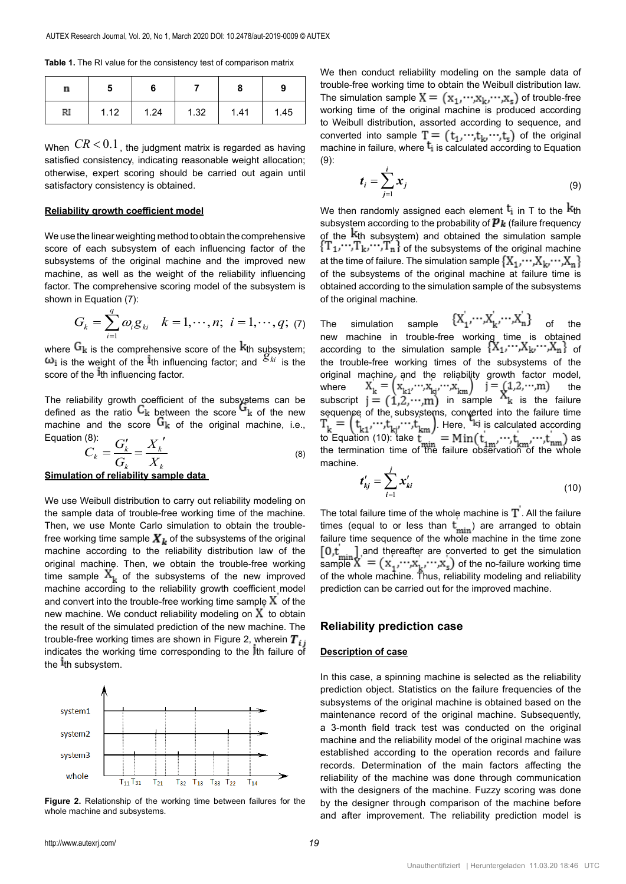**Table 1.** The RI value for the consistency test of comparison matrix

| n  |      |      |      |      |      |
|----|------|------|------|------|------|
| RI | 1.12 | 1.24 | 1.32 | 1.41 | 1.45 |

When  $CR < 0.1$ , the judgment matrix is regarded as having satisfied consistency, indicating reasonable weight allocation; otherwise, expert scoring should be carried out again until satisfactory consistency is obtained.

#### **Reliability growth coefficient model**

We use the linear weighting method to obtain the comprehensive score of each subsystem of each influencing factor of the subsystems of the original machine and the improved new machine, as well as the weight of the reliability influencing factor. The comprehensive scoring model of the subsystem is shown in Equation (7):

$$
G_k = \sum_{i=1}^{q} \omega_i g_{ki} \quad k = 1, \cdots, n; \ \ i = 1, \cdots, q; \ (7)
$$

where  $G_k$  is the comprehensive score of the  $k$ th subsystem;  $\omega_i$  is the weight of the <sup>i</sup>th influencing factor; and  $g_{ki}$  is the score of the  $\mathbf{1}_{\text{th}}$  influencing factor.

The reliability growth coefficient of the subsystems can be defined as the ratio  $C_k$  between the score  $G_k$  of the new machine and the score  $G_k$  of the original machine, i.e., Equation (8):

$$
C_k = \frac{G'_k}{G_k} = \frac{{X'_k}'}{X_k}
$$
 (8)

#### **Simulation of reliability sample data**

We use Weibull distribution to carry out reliability modeling on the sample data of trouble-free working time of the machine. Then, we use Monte Carlo simulation to obtain the troublefree working time sample  $X_k$  of the subsystems of the original machine according to the reliability distribution law of the original machine. Then, we obtain the trouble-free working time sample  $X_{l_r}$  of the subsystems of the new improved machine according to the reliability growth coefficient model and convert into the trouble-free working time sample  $X$  of the new machine. We conduct reliability modeling on  $X$  to obtain the result of the simulated prediction of the new machine. The trouble-free working times are shown in Figure 2, wherein  $\boldsymbol{T}_{i,i}$ indicates the working time corresponding to the  $\overline{\text{I}}$ th failure of the  $\mathbf{i}$ th subsystem.



**Figure 2.** Relationship of the working time between failures for the whole machine and subsystems.

We then conduct reliability modeling on the sample data of trouble-free working time to obtain the Weibull distribution law. The simulation sample  $X = (x_1, ..., x_k, ..., x_s)$  of trouble-free working time of the original machine is produced according to Weibull distribution, assorted according to sequence, and converted into sample  $T = (t_1, ..., t_k, ..., t_s)$  of the original machine in failure, where  $t_i$  is calculated according to Equation (9):

$$
t_i = \sum_{j=1}^i x_j \tag{9}
$$

We then randomly assigned each element  $t_i$  in T to the  $k$ <sup>th</sup> subsystem according to the probability of  $\bm{p}_{\bm{k}}$  (failure frequency of the **K**<sup>th</sup> subsystem) and obtained the simulation sample of the subsystems of the original machine at the time of failure. The simulation sample  $\{X_1, \dots, X_k, \dots, X_n\}$ of the subsystems of the original machine at failure time is obtained according to the simulation sample of the subsystems of the original machine.

The simulation sample  $\{X_1^{'}, \cdots, X_{k'}^{'} \cdots, X_{n}^{'}\}$  of the new machine in trouble-free working time is obtained according to the simulation sample  $\{\Lambda_1, \cdots, \Lambda_k, \cdots, \Lambda_n\}$  of the trouble-free working times of the subsystems of the original machine, and the reliability growth factor model, where  $X_k = (X_{k1}, ..., X_{ki}, ..., X_{km})$   $j = (1, 2, ..., m)$  the subscript  $j = (1, 2, \dots, m)$  in sample  $A_k$  is the failure sequence of the subsystems, converted into the failure time . Here, ki is calculated according to Equation (10): take  $t = Min(t, \dots, t, \dots, t_{\dots})$  as the termination time of the failure observation of the whole machine.

$$
t'_{kj} = \sum_{i=1}^{j} x'_{ki}
$$
 (10)

The total failure time of the whole machine is  $T$ . All the failure times (equal to or less than  $t_{min}$ ) are arranged to obtain failure time sequence of the whole machine in the time zone and thereafter are converted to get the simulation sample  $X = (X_1, \dots, X_L, \dots, X_s)$  of the no-failure working time of the whole machine. Thus, reliability modeling and reliability prediction can be carried out for the improved machine.

### **Reliability prediction case**

### **Description of case**

In this case, a spinning machine is selected as the reliability prediction object. Statistics on the failure frequencies of the subsystems of the original machine is obtained based on the maintenance record of the original machine. Subsequently, a 3-month field track test was conducted on the original machine and the reliability model of the original machine was established according to the operation records and failure records. Determination of the main factors affecting the reliability of the machine was done through communication with the designers of the machine. Fuzzy scoring was done by the designer through comparison of the machine before and after improvement. The reliability prediction model is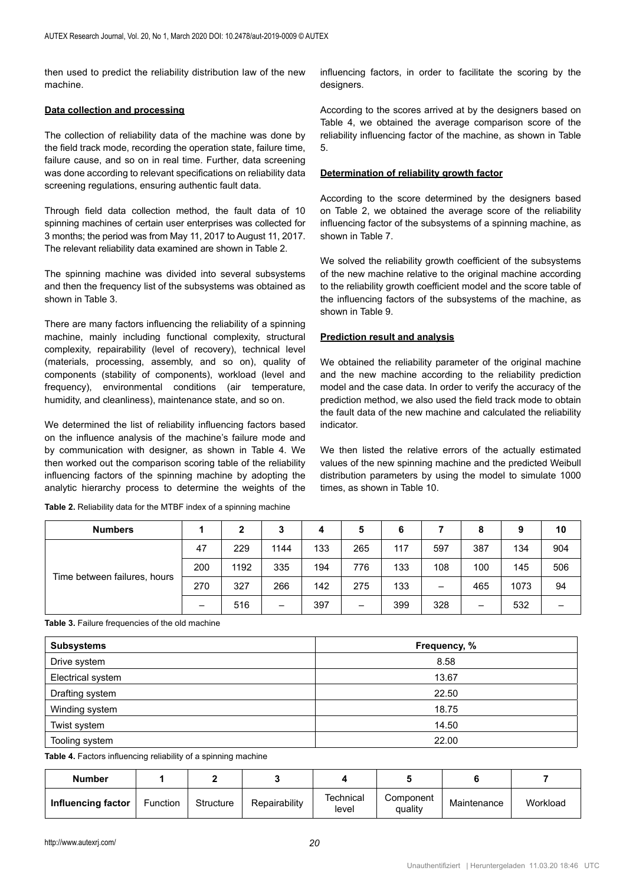then used to predict the reliability distribution law of the new machine.

# **Data collection and processing**

The collection of reliability data of the machine was done by the field track mode, recording the operation state, failure time, failure cause, and so on in real time. Further, data screening was done according to relevant specifications on reliability data screening regulations, ensuring authentic fault data.

Through field data collection method, the fault data of 10 spinning machines of certain user enterprises was collected for 3 months; the period was from May 11, 2017 to August 11, 2017. The relevant reliability data examined are shown in Table 2.

The spinning machine was divided into several subsystems and then the frequency list of the subsystems was obtained as shown in Table 3.

There are many factors influencing the reliability of a spinning machine, mainly including functional complexity, structural complexity, repairability (level of recovery), technical level (materials, processing, assembly, and so on), quality of components (stability of components), workload (level and frequency), environmental conditions (air temperature, humidity, and cleanliness), maintenance state, and so on.

We determined the list of reliability influencing factors based on the influence analysis of the machine's failure mode and by communication with designer, as shown in Table 4. We then worked out the comparison scoring table of the reliability influencing factors of the spinning machine by adopting the analytic hierarchy process to determine the weights of the

**Table 2.** Reliability data for the MTBF index of a spinning machine

influencing factors, in order to facilitate the scoring by the designers.

According to the scores arrived at by the designers based on Table 4, we obtained the average comparison score of the reliability influencing factor of the machine, as shown in Table 5.

# **Determination of reliability growth factor**

According to the score determined by the designers based on Table 2, we obtained the average score of the reliability influencing factor of the subsystems of a spinning machine, as shown in Table 7.

We solved the reliability growth coefficient of the subsystems of the new machine relative to the original machine according to the reliability growth coefficient model and the score table of the influencing factors of the subsystems of the machine, as shown in Table 9.

### **Prediction result and analysis**

We obtained the reliability parameter of the original machine and the new machine according to the reliability prediction model and the case data. In order to verify the accuracy of the prediction method, we also used the field track mode to obtain the fault data of the new machine and calculated the reliability indicator.

We then listed the relative errors of the actually estimated values of the new spinning machine and the predicted Weibull distribution parameters by using the model to simulate 1000 times, as shown in Table 10.

| <b>Numbers</b>               |     | 2    | 3                        | 4   | 5   | 6   |                 |                          | 9    | 10  |
|------------------------------|-----|------|--------------------------|-----|-----|-----|-----------------|--------------------------|------|-----|
|                              | 47  | 229  | 1144                     | 133 | 265 | 117 | 597             | 387                      | 134  | 904 |
|                              | 200 | 1192 | 335                      | 194 | 776 | 133 | 108             | 100                      | 145  | 506 |
| Time between failures, hours | 270 | 327  | 266                      | 142 | 275 | 133 | $\qquad \qquad$ | 465                      | 1073 | 94  |
|                              |     | 516  | $\overline{\phantom{0}}$ | 397 | —   | 399 | 328             | $\overline{\phantom{0}}$ | 532  |     |

**Table 3.** Failure frequencies of the old machine

| <b>Subsystems</b> | Frequency, % |
|-------------------|--------------|
| Drive system      | 8.58         |
| Electrical system | 13.67        |
| Drafting system   | 22.50        |
| Winding system    | 18.75        |
| Twist system      | 14.50        |
| Tooling system    | 22.00        |

**Table 4.** Factors influencing reliability of a spinning machine

| Number             |          |           |               |                    |                      |             |          |
|--------------------|----------|-----------|---------------|--------------------|----------------------|-------------|----------|
| Influencing factor | Function | Structure | Repairability | Technical<br>level | Component<br>quality | Maintenance | Workload |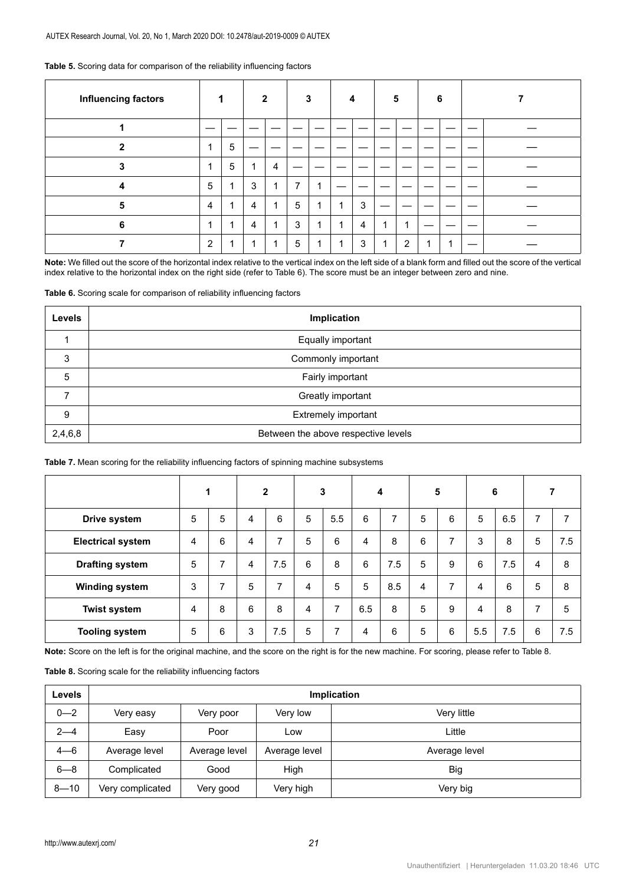| <b>Influencing factors</b> |                |                          |                | $\overline{2}$ |                          | 3              | 4              |                |                | 5 | 6 |  |
|----------------------------|----------------|--------------------------|----------------|----------------|--------------------------|----------------|----------------|----------------|----------------|---|---|--|
|                            |                |                          |                |                |                          |                |                |                |                |   |   |  |
| $\overline{2}$             |                | 5                        |                |                |                          |                |                |                |                |   |   |  |
| 3                          | $\overline{ }$ | 5                        | 4              | 4              |                          |                |                |                |                |   |   |  |
| 4                          | 5              | $\overline{\phantom{a}}$ | 3              | $\overline{A}$ | $\overline{\phantom{a}}$ | -1             |                |                |                |   |   |  |
| $5\phantom{.0}$            | 4              | ٠                        | $\overline{4}$ | 4              | 5                        | $\overline{ }$ | $\overline{A}$ | 3              |                |   |   |  |
| 6                          | A              | и                        | $\overline{4}$ |                | 3                        | 4              | $\overline{A}$ | $\overline{4}$ | $\overline{A}$ | 1 |   |  |
|                            | 2              |                          |                |                | 5                        | 4              | $\overline{A}$ | 3              |                | 2 |   |  |

# **Table 5.** Scoring data for comparison of the reliability influencing factors

**Note:** We filled out the score of the horizontal index relative to the vertical index on the left side of a blank form and filled out the score of the vertical index relative to the horizontal index on the right side (refer to Table 6). The score must be an integer between zero and nine.

**Table 6.** Scoring scale for comparison of reliability influencing factors

| <b>Levels</b> | Implication                         |
|---------------|-------------------------------------|
|               | Equally important                   |
| 3             | Commonly important                  |
| 5             | Fairly important                    |
|               | Greatly important                   |
| 9             | <b>Extremely important</b>          |
| 2,4,6,8       | Between the above respective levels |

| Table 7. Mean scoring for the reliability influencing factors of spinning machine subsystems |  |  |  |
|----------------------------------------------------------------------------------------------|--|--|--|
|----------------------------------------------------------------------------------------------|--|--|--|

|                          |   | 1              |   | $\overline{2}$ |   | 3              |                | 4   |   | 5 |     | 6   |                |     |
|--------------------------|---|----------------|---|----------------|---|----------------|----------------|-----|---|---|-----|-----|----------------|-----|
| <b>Drive system</b>      | 5 | 5              | 4 | 6              | 5 | 5.5            | 6              | 7   | 5 | 6 | 5   | 6.5 | 7              | ⇁   |
| <b>Electrical system</b> | 4 | 6              | 4 | $\overline{7}$ | 5 | 6              | $\overline{4}$ | 8   | 6 | 7 | 3   | 8   | 5              | 7.5 |
| <b>Drafting system</b>   | 5 | $\overline{7}$ | 4 | 7.5            | 6 | 8              | 6              | 7.5 | 5 | 9 | 6   | 7.5 | 4              | 8   |
| <b>Winding system</b>    | 3 | 7              | 5 | 7              | 4 | 5              | 5              | 8.5 | 4 | 7 | 4   | 6   | 5              | 8   |
| <b>Twist system</b>      | 4 | 8              | 6 | 8              | 4 | 7              | 6.5            | 8   | 5 | 9 | 4   | 8   | $\overline{7}$ | 5   |
| <b>Tooling system</b>    | 5 | 6              | 3 | 7.5            | 5 | $\overline{7}$ | 4              | 6   | 5 | 6 | 5.5 | 7.5 | 6              | 7.5 |

**Note:** Score on the left is for the original machine, and the score on the right is for the new machine. For scoring, please refer to Table 8.

**Table 8.** Scoring scale for the reliability influencing factors

| <b>Levels</b> |                  | Implication   |               |               |  |  |  |  |  |  |  |  |  |
|---------------|------------------|---------------|---------------|---------------|--|--|--|--|--|--|--|--|--|
| $0 - 2$       | Very easy        | Very poor     | Very low      | Very little   |  |  |  |  |  |  |  |  |  |
| $2 - 4$       | Easy             | Poor          | Low           | Little        |  |  |  |  |  |  |  |  |  |
| $4 - 6$       | Average level    | Average level | Average level | Average level |  |  |  |  |  |  |  |  |  |
| $6 - 8$       | Complicated      | Good          | High          | <b>Big</b>    |  |  |  |  |  |  |  |  |  |
| $8 - 10$      | Very complicated | Very good     | Very high     | Very big      |  |  |  |  |  |  |  |  |  |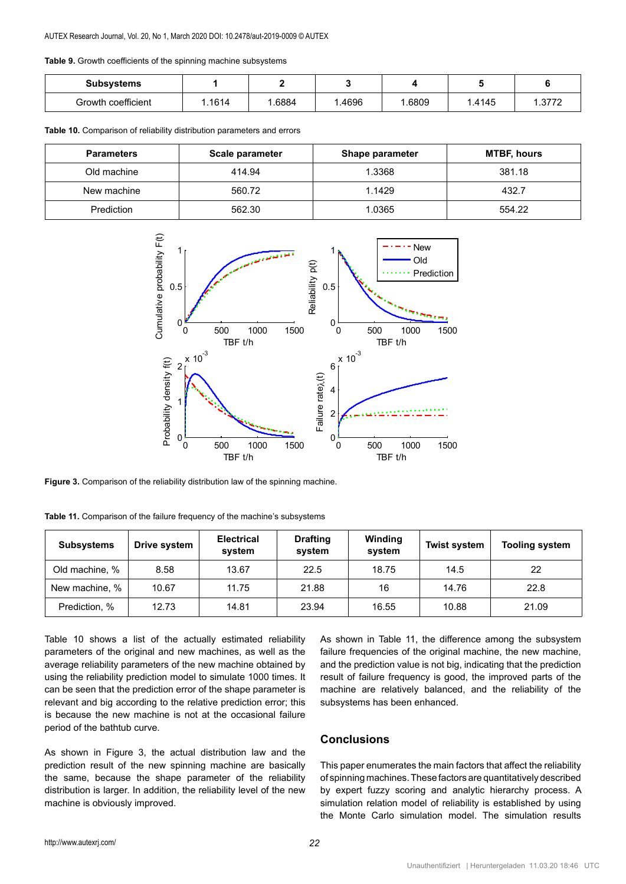**Table 9.** Growth coefficients of the spinning machine subsystems

| <b>Subsystems</b>  |       |       |       |       |       |      |
|--------------------|-------|-------|-------|-------|-------|------|
| Growth coefficient | .1614 | .6884 | .4696 | .6809 | .4145 | 377' |

**Table 10.** Comparison of reliability distribution parameters and errors

| <b>Parameters</b> | Scale parameter | Shape parameter | MTBF, hours |
|-------------------|-----------------|-----------------|-------------|
| Old machine       | 414.94          | 1.3368          | 381.18      |
| New machine       | 560.72          | 1.1429          | 432.7       |
| Prediction        | 562.30          | 1.0365          | 554.22      |



**Figure 3.** Comparison of the reliability distribution law of the spinning machine.

**Table 11.** Comparison of the failure frequency of the machine's subsystems

| <b>Subsystems</b> | <b>Drive system</b> | <b>Electrical</b><br>system | <b>Drafting</b><br>system | <b>Winding</b><br>system | <b>Twist system</b> | <b>Tooling system</b> |
|-------------------|---------------------|-----------------------------|---------------------------|--------------------------|---------------------|-----------------------|
| Old machine, %    | 8.58                | 13.67                       | 22.5                      | 18.75                    | 14.5                | 22                    |
| New machine, %    | 10.67               | 11.75                       | 21.88                     | 16                       | 14.76               | 22.8                  |
| Prediction, %     | 12.73               | 14.81                       | 23.94                     | 16.55                    | 10.88               | 21.09                 |

Table 10 shows a list of the actually estimated reliability parameters of the original and new machines, as well as the average reliability parameters of the new machine obtained by using the reliability prediction model to simulate 1000 times. It can be seen that the prediction error of the shape parameter is relevant and big according to the relative prediction error; this is because the new machine is not at the occasional failure period of the bathtub curve.

As shown in Figure 3, the actual distribution law and the prediction result of the new spinning machine are basically the same, because the shape parameter of the reliability distribution is larger. In addition, the reliability level of the new machine is obviously improved.

As shown in Table 11, the difference among the subsystem failure frequencies of the original machine, the new machine, and the prediction value is not big, indicating that the prediction result of failure frequency is good, the improved parts of the machine are relatively balanced, and the reliability of the subsystems has been enhanced.

# **Conclusions**

This paper enumerates the main factors that affect the reliability of spinning machines. These factors are quantitatively described by expert fuzzy scoring and analytic hierarchy process. A simulation relation model of reliability is established by using the Monte Carlo simulation model. The simulation results